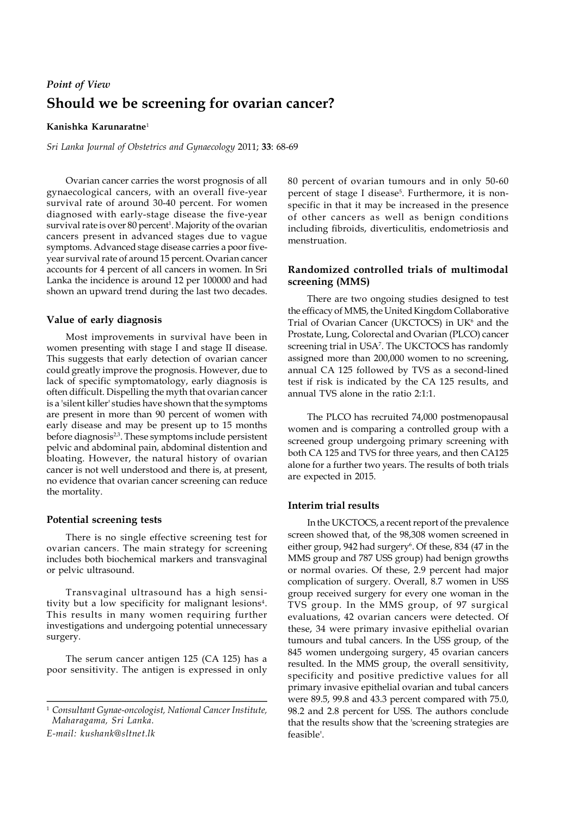# **Should we be screening for ovarian cancer?** *Point of View*

# **Kanishka Karunaratne**<sup>1</sup>

*Sri Lanka Journal of Obstetrics and Gynaecology* 2011; **33**: 68-69

Ovarian cancer carries the worst prognosis of all gynaecological cancers, with an overall five-year survival rate of around 30-40 percent. For women diagnosed with early-stage disease the five-year survival rate is over 80 percent<sup>1</sup>. Majority of the ovarian cancers present in advanced stages due to vague symptoms. Advanced stage disease carries a poor fiveyear survival rate of around 15 percent. Ovarian cancer accounts for 4 percent of all cancers in women. In Sri Lanka the incidence is around 12 per 100000 and had shown an upward trend during the last two decades.

# **Value of early diagnosis**

Most improvements in survival have been in women presenting with stage I and stage II disease. This suggests that early detection of ovarian cancer could greatly improve the prognosis. However, due to lack of specific symptomatology, early diagnosis is often difficult. Dispelling the myth that ovarian cancer is a 'silent killer' studies have shown that the symptoms are present in more than 90 percent of women with early disease and may be present up to 15 months before diagnosis<sup>2,3</sup>. These symptoms include persistent pelvic and abdominal pain, abdominal distention and bloating. However, the natural history of ovarian cancer is not well understood and there is, at present, no evidence that ovarian cancer screening can reduce the mortality.

### **Potential screening tests**

There is no single effective screening test for ovarian cancers. The main strategy for screening includes both biochemical markers and transvaginal or pelvic ultrasound.

Transvaginal ultrasound has a high sensitivity but a low specificity for malignant lesions<sup>4</sup>. This results in many women requiring further investigations and undergoing potential unnecessary surgery.

The serum cancer antigen 125 (CA 125) has a poor sensitivity. The antigen is expressed in only

<sup>1</sup> *Consultant Gynae-oncologist, National Cancer Institute, Maharagama, Sri Lanka. E-mail: kushank@sltnet.lk*

80 percent of ovarian tumours and in only 50-60 percent of stage I disease<sup>5</sup>. Furthermore, it is nonspecific in that it may be increased in the presence of other cancers as well as benign conditions including fibroids, diverticulitis, endometriosis and menstruation.

# **Randomized controlled trials of multimodal screening (MMS)**

There are two ongoing studies designed to test the efficacy of MMS, the United Kingdom Collaborative Trial of Ovarian Cancer (UKCTOCS) in UK<sup>6</sup> and the Prostate, Lung, Colorectal and Ovarian (PLCO) cancer screening trial in USA<sup>7</sup> . The UKCTOCS has randomly assigned more than 200,000 women to no screening, annual CA 125 followed by TVS as a second-lined test if risk is indicated by the CA 125 results, and annual TVS alone in the ratio 2:1:1.

The PLCO has recruited 74,000 postmenopausal women and is comparing a controlled group with a screened group undergoing primary screening with both CA 125 and TVS for three years, and then CA125 alone for a further two years. The results of both trials are expected in 2015.

### **Interim trial results**

In the UKCTOCS, a recent report of the prevalence screen showed that, of the 98,308 women screened in either group, 942 had surgery<sup>6</sup>. Of these, 834 (47 in the MMS group and 787 USS group) had benign growths or normal ovaries. Of these, 2.9 percent had major complication of surgery. Overall, 8.7 women in USS group received surgery for every one woman in the TVS group. In the MMS group, of 97 surgical evaluations, 42 ovarian cancers were detected. Of these, 34 were primary invasive epithelial ovarian tumours and tubal cancers. In the USS group, of the 845 women undergoing surgery, 45 ovarian cancers resulted. In the MMS group, the overall sensitivity, specificity and positive predictive values for all primary invasive epithelial ovarian and tubal cancers were 89.5, 99.8 and 43.3 percent compared with 75.0, 98.2 and 2.8 percent for USS. The authors conclude that the results show that the 'screening strategies are feasible'.